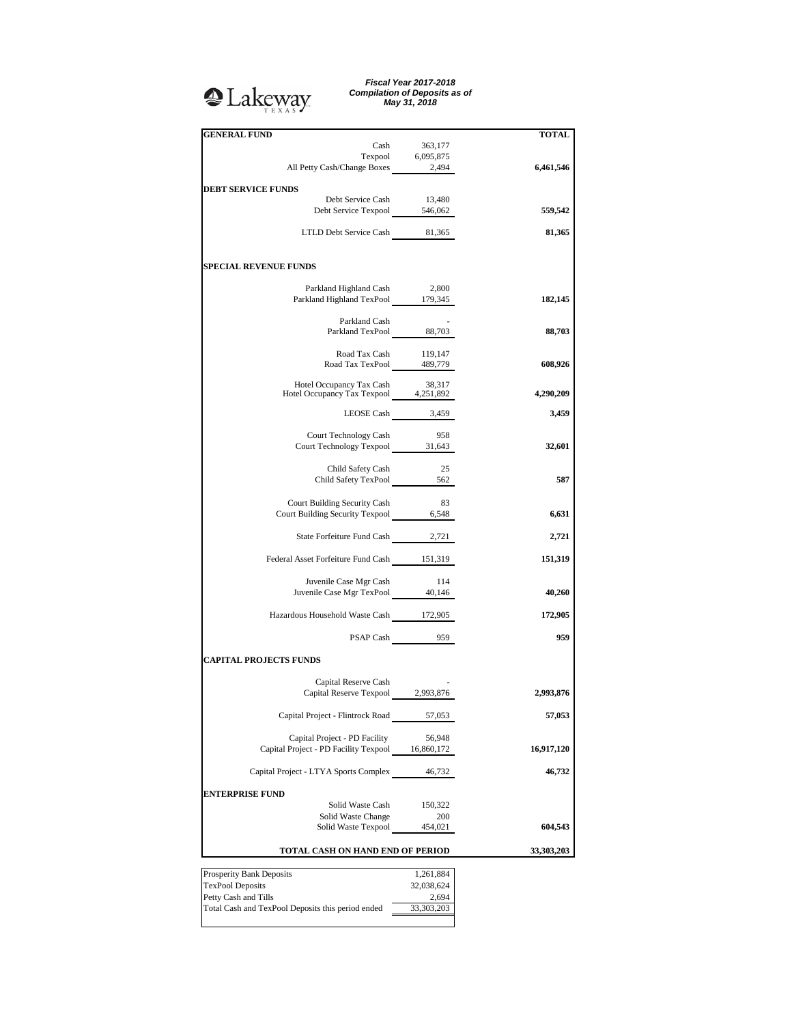## **Q**Lakeway

*Fiscal Year 2017-2018 Compilation of Deposits as of May 31, 2018*

| <b>GENERAL FUND</b>                                                      |                  | <b>TOTAL</b> |
|--------------------------------------------------------------------------|------------------|--------------|
| Cash                                                                     | 363,177          |              |
| Texpool 6,095,875<br>All Petty Cash/Change Boxes 2,494                   |                  |              |
|                                                                          |                  | 6,461,546    |
| <b>DEBT SERVICE FUNDS</b>                                                |                  |              |
| Debt Service Cash                                                        | 13,480           |              |
| Debt Service Texpool 546,062                                             |                  | 559,542      |
| LTLD Debt Service Cash 81,365                                            |                  | 81,365       |
|                                                                          |                  |              |
| <b>SPECIAL REVENUE FUNDS</b>                                             |                  |              |
| Parkland Highland Cash                                                   | 2,800            |              |
| Parkland Highland TexPool 179,345                                        |                  | 182,145      |
|                                                                          |                  |              |
| Parkland Cash<br>Parkland TexPool 88,703                                 |                  | 88,703       |
|                                                                          |                  |              |
| Road Tax Cash 119,147<br>Road Tax TexPool 489,779                        |                  | 608,926      |
|                                                                          |                  |              |
| Hotel Occupancy Tax Cash 38,317<br>Hotel Occupancy Tax Texpool 4,251,892 |                  | 4,290,209    |
|                                                                          |                  |              |
|                                                                          | LEOSE Cash 3,459 | 3,459        |
| Court Technology Cash                                                    | 958              |              |
| Court Technology Texpool 31,643                                          |                  | 32,601       |
|                                                                          | -25              |              |
| Child Safety Cash<br>Child Safety TexPool 562                            |                  | 587          |
|                                                                          |                  |              |
| Court Building Security Cash                                             | 83               |              |
| Court Building Security Texpool 6,548                                    |                  | 6,631        |
| State Forfeiture Fund Cash 2,721                                         |                  | 2,721        |
|                                                                          |                  |              |
| Federal Asset Forfeiture Fund Cash 151,319                               |                  | 151,319      |
| Juvenile Case Mgr Cash                                                   | 114              |              |
| Juvenile Case Mgr TexPool 40,146                                         |                  | 40,260       |
| Hazardous Household Waste Cash 172,905                                   |                  | 172,905      |
|                                                                          | PSAP Cash 959    | 959          |
|                                                                          |                  |              |
| <b>CAPITAL PROJECTS FUNDS</b>                                            |                  |              |
| Capital Reserve Cash                                                     |                  |              |
| Capital Reserve Texpool 2,993,876                                        |                  | 2,993,876    |
|                                                                          |                  |              |
| Capital Project - Flintrock Road                                         | 57,053           | 57,053       |
| Capital Project - PD Facility                                            | 56,948           |              |
| Capital Project - PD Facility Texpool 16,860,172                         |                  | 16,917,120   |
| Capital Project - LTYA Sports Complex                                    | 46,732           | 46,732       |
|                                                                          |                  |              |
| <b>ENTERPRISE FUND</b>                                                   |                  |              |
| Solid Waste Cash<br>Solid Waste Change                                   | 150,322<br>200   |              |
| Solid Waste Texpool                                                      | 454,021          | 604,543      |
|                                                                          |                  |              |
| TOTAL CASH ON HAND END OF PERIOD                                         |                  | 33,303,203   |
| Prosperity Bank Deposits                                                 | 1,261,884        |              |
| <b>TexPool Deposits</b>                                                  | 32,038,624       |              |
| Petty Cash and Tills                                                     | 2,694            |              |
| Total Cash and TexPool Deposits this period ended                        | 33,303,203       |              |